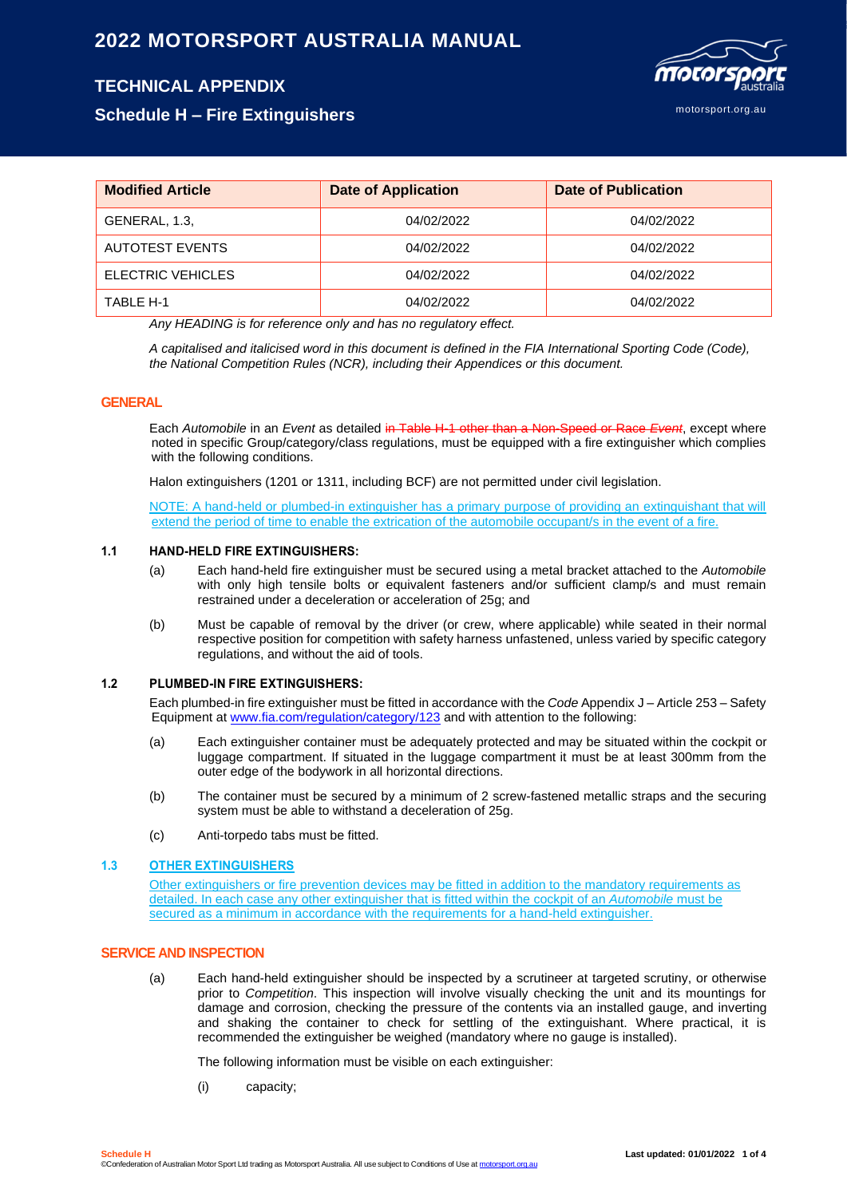# **2022 MOTORSPORT AUSTRALIA MANUAL**

# **TECHNICAL APPENDIX**

motorsport.org.au

**Schedule H – Fire Extinguishers**

| <b>Modified Article</b> | <b>Date of Application</b> | <b>Date of Publication</b> |
|-------------------------|----------------------------|----------------------------|
| GENERAL, 1.3,           | 04/02/2022                 | 04/02/2022                 |
| <b>AUTOTEST EVENTS</b>  | 04/02/2022                 | 04/02/2022                 |
| ELECTRIC VEHICLES       | 04/02/2022                 | 04/02/2022                 |
| TABLE H-1               | 04/02/2022                 | 04/02/2022                 |

*Any HEADING is for reference only and has no regulatory effect.*

*A capitalised and italicised word in this document is defined in the FIA International Sporting Code (Code), the National Competition Rules (NCR), including their Appendices or this document.*

#### **GENERAL**

Each *Automobile* in an *Event* as detailed in Table H-1 other than a Non-Speed or Race *Event*, except where noted in specific Group/category/class regulations, must be equipped with a fire extinguisher which complies with the following conditions.

Halon extinguishers (1201 or 1311, including BCF) are not permitted under civil legislation.

NOTE: A hand-held or plumbed-in extinguisher has a primary purpose of providing an extinguishant that will extend the period of time to enable the extrication of the automobile occupant/s in the event of a fire.

#### **1.1 HAND-HELD FIRE EXTINGUISHERS:**

- (a) Each hand-held fire extinguisher must be secured using a metal bracket attached to the *Automobile* with only high tensile bolts or equivalent fasteners and/or sufficient clamp/s and must remain restrained under a deceleration or acceleration of 25g; and
- (b) Must be capable of removal by the driver (or crew, where applicable) while seated in their normal respective position for competition with safety harness unfastened, unless varied by specific category regulations, and without the aid of tools.

#### **1.2 PLUMBED-IN FIRE EXTINGUISHERS:**

Each plumbed-in fire extinguisher must be fitted in accordance with the *Code* Appendix J – Article 253 – Safety Equipment at [www.fia.com/regulation/category/123](http://www.fia.com/regulation/category/123) and with attention to the following:

- (a) Each extinguisher container must be adequately protected and may be situated within the cockpit or luggage compartment. If situated in the luggage compartment it must be at least 300mm from the outer edge of the bodywork in all horizontal directions.
- (b) The container must be secured by a minimum of 2 screw-fastened metallic straps and the securing system must be able to withstand a deceleration of 25g.
- (c) Anti-torpedo tabs must be fitted.

#### **1.3 OTHER EXTINGUISHERS**

Other extinguishers or fire prevention devices may be fitted in addition to the mandatory requirements as detailed. In each case any other extinguisher that is fitted within the cockpit of an *Automobile* must be secured as a minimum in accordance with the requirements for a hand-held extinguisher.

#### **SERVICE AND INSPECTION**

(a) Each hand-held extinguisher should be inspected by a scrutineer at targeted scrutiny, or otherwise prior to *Competition*. This inspection will involve visually checking the unit and its mountings for damage and corrosion, checking the pressure of the contents via an installed gauge, and inverting and shaking the container to check for settling of the extinguishant. Where practical, it is recommended the extinguisher be weighed (mandatory where no gauge is installed).

The following information must be visible on each extinguisher:

(i) capacity;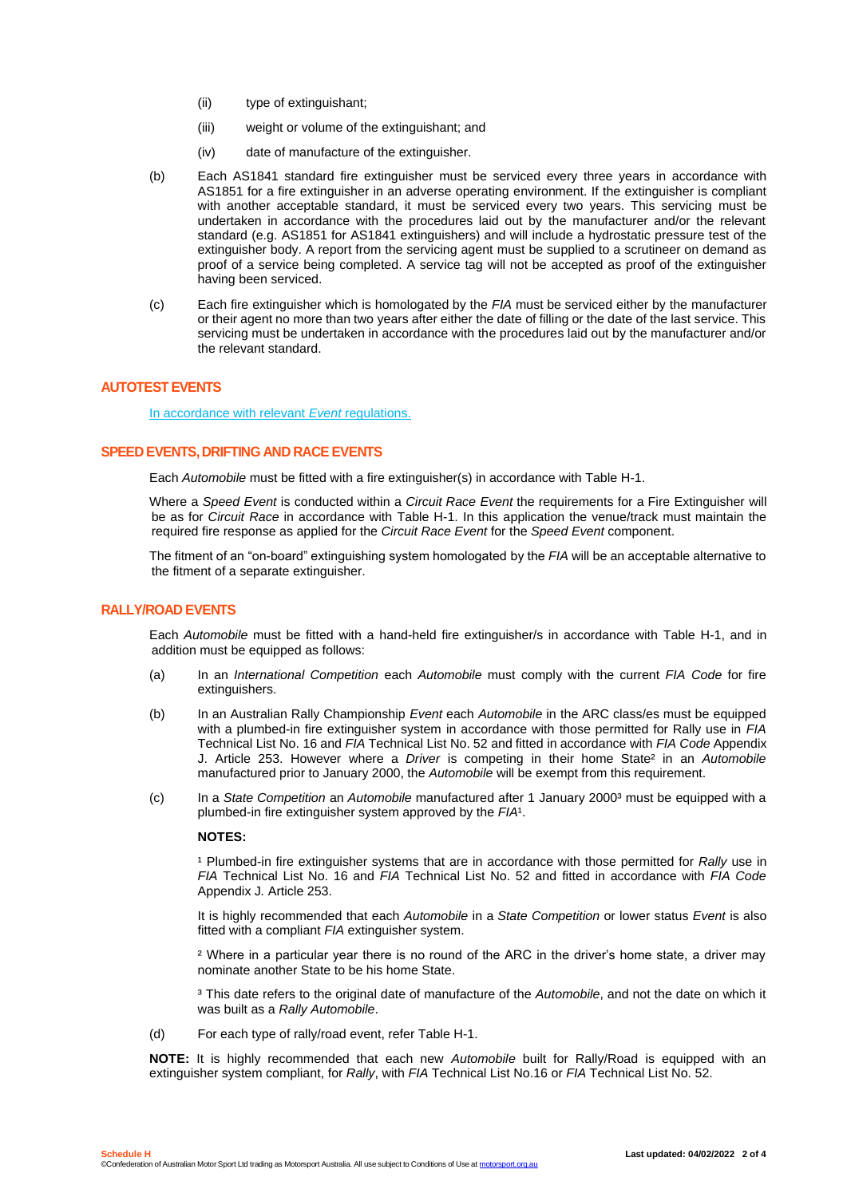- (ii) type of extinguishant;
- (iii) weight or volume of the extinguishant; and
- (iv) date of manufacture of the extinguisher.
- (b) Each AS1841 standard fire extinguisher must be serviced every three years in accordance with AS1851 for a fire extinguisher in an adverse operating environment. If the extinguisher is compliant with another acceptable standard, it must be serviced every two years. This servicing must be undertaken in accordance with the procedures laid out by the manufacturer and/or the relevant standard (e.g. AS1851 for AS1841 extinguishers) and will include a hydrostatic pressure test of the extinguisher body. A report from the servicing agent must be supplied to a scrutineer on demand as proof of a service being completed. A service tag will not be accepted as proof of the extinguisher having been serviced.
- (c) Each fire extinguisher which is homologated by the *FIA* must be serviced either by the manufacturer or their agent no more than two years after either the date of filling or the date of the last service. This servicing must be undertaken in accordance with the procedures laid out by the manufacturer and/or the relevant standard.

#### **AUTOTEST EVENTS**

In accordance with relevant *Event* regulations.

#### **SPEED EVENTS, DRIFTING AND RACE EVENTS**

Each *Automobile* must be fitted with a fire extinguisher(s) in accordance with Table H-1.

Where a *Speed Event* is conducted within a *Circuit Race Event* the requirements for a Fire Extinguisher will be as for *Circuit Race* in accordance with Table H-1. In this application the venue/track must maintain the required fire response as applied for the *Circuit Race Event* for the *Speed Event* component.

The fitment of an "on-board" extinguishing system homologated by the *FIA* will be an acceptable alternative to the fitment of a separate extinguisher.

#### **RALLY/ROAD EVENTS**

Each *Automobile* must be fitted with a hand-held fire extinguisher/s in accordance with Table H-1, and in addition must be equipped as follows:

- (a) In an *International Competition* each *Automobile* must comply with the current *FIA Code* for fire extinguishers.
- (b) In an Australian Rally Championship *Event* each *Automobile* in the ARC class/es must be equipped with a plumbed-in fire extinguisher system in accordance with those permitted for Rally use in *FIA* Technical List No. 16 and *FIA* Technical List No. 52 and fitted in accordance with *FIA Code* Appendix J. Article 253. However where a *Driver* is competing in their home State² in an *Automobile* manufactured prior to January 2000, the *Automobile* will be exempt from this requirement.
- (c) In a *State Competition* an *Automobile* manufactured after 1 January 2000³ must be equipped with a plumbed-in fire extinguisher system approved by the *FIA*<sup>1</sup>.

#### **NOTES:**

<sup>1</sup> Plumbed-in fire extinguisher systems that are in accordance with those permitted for *Rally* use in *FIA* Technical List No. 16 and *FIA* Technical List No. 52 and fitted in accordance with *FIA Code*  Appendix J*.* Article 253.

It is highly recommended that each *Automobile* in a *State Competition* or lower status *Event* is also fitted with a compliant *FIA* extinguisher system.

² Where in a particular year there is no round of the ARC in the driver's home state, a driver may nominate another State to be his home State.

³ This date refers to the original date of manufacture of the *Automobile*, and not the date on which it was built as a *Rally Automobile*.

(d) For each type of rally/road event, refer Table H-1.

**NOTE:** It is highly recommended that each new *Automobile* built for Rally/Road is equipped with an extinguisher system compliant, for *Rally*, with *FIA* Technical List No.16 or *FIA* Technical List No. 52.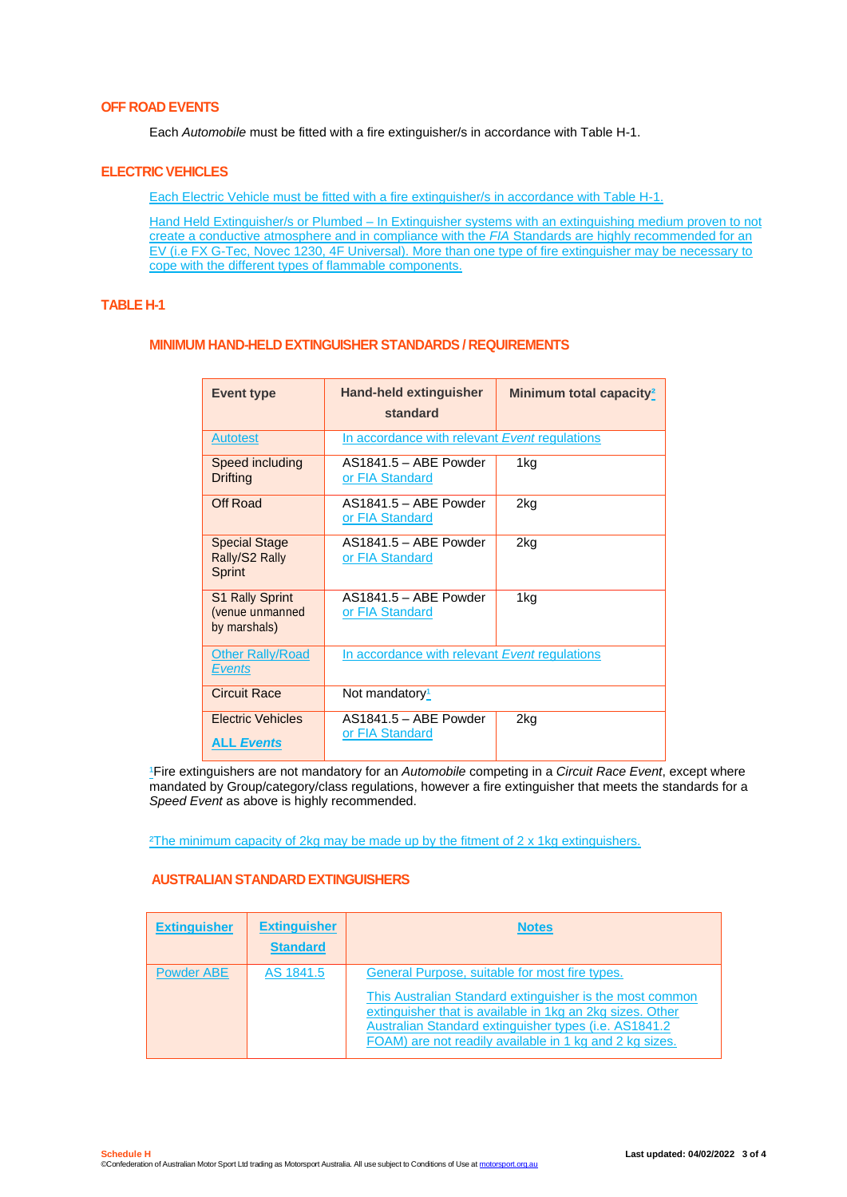# **OFF ROAD EVENTS**

Each *Automobile* must be fitted with a fire extinguisher/s in accordance with Table H-1.

#### **ELECTRIC VEHICLES**

Each Electric Vehicle must be fitted with a fire extinguisher/s in accordance with Table H-1.

Hand Held Extinguisher/s or Plumbed – In Extinguisher systems with an extinguishing medium proven to not create a conductive atmosphere and in compliance with the *FIA* Standards are highly recommended for an EV (i.e FX G-Tec, Novec 1230, 4F Universal). More than one type of fire extinguisher may be necessary to cope with the different types of flammable components.

### **TABLE H-1**

#### **MINIMUM HAND-HELD EXTINGUISHER STANDARDS / REQUIREMENTS**

| <b>Event type</b>                                         | <b>Hand-held extinguisher</b><br>standard     | Minimum total capacity <sup>2</sup> |
|-----------------------------------------------------------|-----------------------------------------------|-------------------------------------|
| <b>Autotest</b>                                           | In accordance with relevant Event regulations |                                     |
| Speed including<br>Drifting                               | AS1841.5 - ABE Powder<br>or FIA Standard      | 1kg                                 |
| Off Road                                                  | AS1841.5 - ABE Powder<br>or FIA Standard      | 2ka                                 |
| <b>Special Stage</b><br>Rally/S2 Rally<br>Sprint          | $AS1841.5 - ABE Power$<br>or FIA Standard     | 2kg                                 |
| <b>S1 Rally Sprint</b><br>(venue unmanned<br>by marshals) | AS1841.5 - ABE Powder<br>or FIA Standard      | 1kg                                 |
| <b>Other Rally/Road</b><br><b>Events</b>                  | In accordance with relevant Event regulations |                                     |
| <b>Circuit Race</b>                                       | Not mandatory <sup>1</sup>                    |                                     |
| <b>Electric Vehicles</b><br><b>ALL Events</b>             | AS1841.5 - ABE Powder<br>or FIA Standard      | 2kg                                 |

<sup>1</sup>Fire extinguishers are not mandatory for an *Automobile* competing in a *Circuit Race Event*, except where mandated by Group/category/class regulations, however a fire extinguisher that meets the standards for a *Speed Event* as above is highly recommended.

²The minimum capacity of 2kg may be made up by the fitment of 2 x 1kg extinguishers.

# **AUSTRALIAN STANDARD EXTINGUISHERS**

| <b>Extinguisher</b> | <b>Extinguisher</b><br><b>Standard</b> | <b>Notes</b>                                                                                                                                                                                                                                                                                |
|---------------------|----------------------------------------|---------------------------------------------------------------------------------------------------------------------------------------------------------------------------------------------------------------------------------------------------------------------------------------------|
| Powder ABE          | AS 1841.5                              | General Purpose, suitable for most fire types.<br>This Australian Standard extinguisher is the most common<br>extinguisher that is available in 1kg an 2kg sizes. Other<br>Australian Standard extinguisher types (i.e. AS1841.2<br>FOAM) are not readily available in 1 kg and 2 kg sizes. |